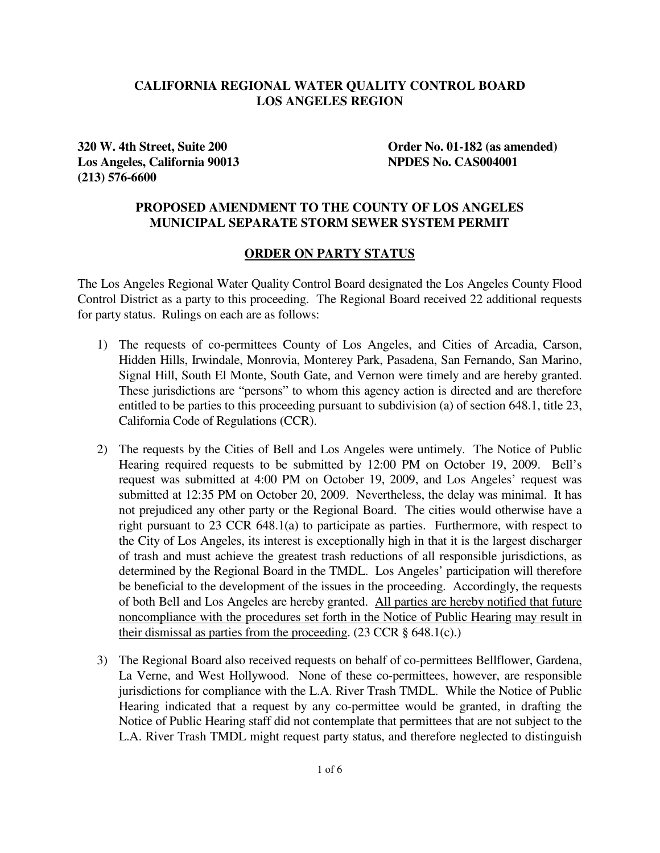## **CALIFORNIA REGIONAL WATER QUALITY CONTROL BOARD LOS ANGELES REGION**

**Los Angeles, California 90013 NPDES No. CAS004001 (213) 576-6600** 

**320 W. 4th Street, Suite 200 Order No. 01-182 (as amended)** 

### **PROPOSED AMENDMENT TO THE COUNTY OF LOS ANGELES MUNICIPAL SEPARATE STORM SEWER SYSTEM PERMIT**

#### **ORDER ON PARTY STATUS**

The Los Angeles Regional Water Quality Control Board designated the Los Angeles County Flood Control District as a party to this proceeding. The Regional Board received 22 additional requests for party status. Rulings on each are as follows:

- 1) The requests of co-permittees County of Los Angeles, and Cities of Arcadia, Carson, Hidden Hills, Irwindale, Monrovia, Monterey Park, Pasadena, San Fernando, San Marino, Signal Hill, South El Monte, South Gate, and Vernon were timely and are hereby granted. These jurisdictions are "persons" to whom this agency action is directed and are therefore entitled to be parties to this proceeding pursuant to subdivision (a) of section 648.1, title 23, California Code of Regulations (CCR).
- 2) The requests by the Cities of Bell and Los Angeles were untimely. The Notice of Public Hearing required requests to be submitted by 12:00 PM on October 19, 2009. Bell's request was submitted at 4:00 PM on October 19, 2009, and Los Angeles' request was submitted at 12:35 PM on October 20, 2009. Nevertheless, the delay was minimal. It has not prejudiced any other party or the Regional Board. The cities would otherwise have a right pursuant to 23 CCR 648.1(a) to participate as parties. Furthermore, with respect to the City of Los Angeles, its interest is exceptionally high in that it is the largest discharger of trash and must achieve the greatest trash reductions of all responsible jurisdictions, as determined by the Regional Board in the TMDL. Los Angeles' participation will therefore be beneficial to the development of the issues in the proceeding. Accordingly, the requests of both Bell and Los Angeles are hereby granted. All parties are hereby notified that future noncompliance with the procedures set forth in the Notice of Public Hearing may result in their dismissal as parties from the proceeding.  $(23 \text{ CCR} \S 648.1(c))$
- 3) The Regional Board also received requests on behalf of co-permittees Bellflower, Gardena, La Verne, and West Hollywood. None of these co-permittees, however, are responsible jurisdictions for compliance with the L.A. River Trash TMDL. While the Notice of Public Hearing indicated that a request by any co-permittee would be granted, in drafting the Notice of Public Hearing staff did not contemplate that permittees that are not subject to the L.A. River Trash TMDL might request party status, and therefore neglected to distinguish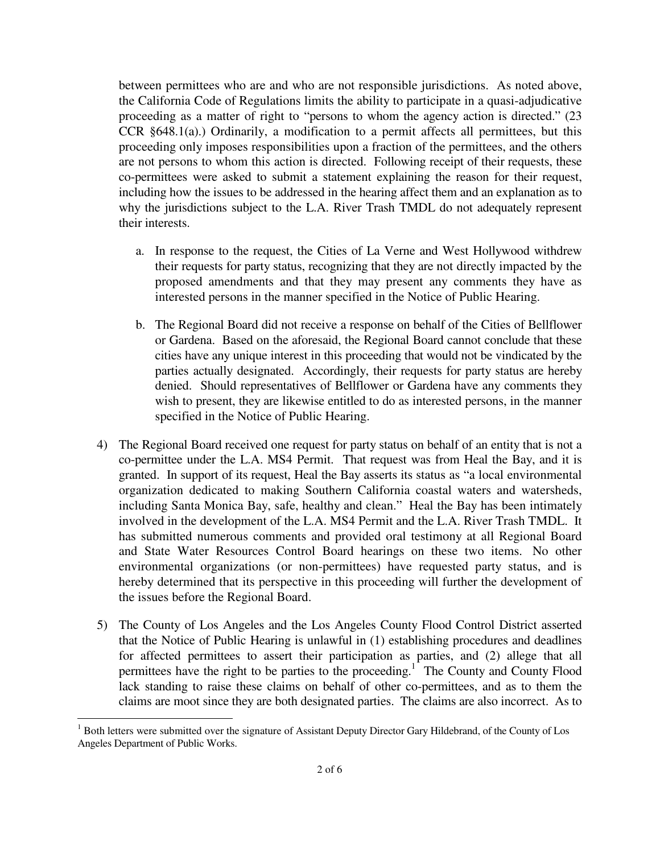between permittees who are and who are not responsible jurisdictions. As noted above, the California Code of Regulations limits the ability to participate in a quasi-adjudicative proceeding as a matter of right to "persons to whom the agency action is directed." (23 CCR  $§648.1(a)$ .) Ordinarily, a modification to a permit affects all permittees, but this proceeding only imposes responsibilities upon a fraction of the permittees, and the others are not persons to whom this action is directed. Following receipt of their requests, these co-permittees were asked to submit a statement explaining the reason for their request, including how the issues to be addressed in the hearing affect them and an explanation as to why the jurisdictions subject to the L.A. River Trash TMDL do not adequately represent their interests.

- a. In response to the request, the Cities of La Verne and West Hollywood withdrew their requests for party status, recognizing that they are not directly impacted by the proposed amendments and that they may present any comments they have as interested persons in the manner specified in the Notice of Public Hearing.
- b. The Regional Board did not receive a response on behalf of the Cities of Bellflower or Gardena. Based on the aforesaid, the Regional Board cannot conclude that these cities have any unique interest in this proceeding that would not be vindicated by the parties actually designated. Accordingly, their requests for party status are hereby denied. Should representatives of Bellflower or Gardena have any comments they wish to present, they are likewise entitled to do as interested persons, in the manner specified in the Notice of Public Hearing.
- 4) The Regional Board received one request for party status on behalf of an entity that is not a co-permittee under the L.A. MS4 Permit. That request was from Heal the Bay, and it is granted. In support of its request, Heal the Bay asserts its status as "a local environmental organization dedicated to making Southern California coastal waters and watersheds, including Santa Monica Bay, safe, healthy and clean." Heal the Bay has been intimately involved in the development of the L.A. MS4 Permit and the L.A. River Trash TMDL. It has submitted numerous comments and provided oral testimony at all Regional Board and State Water Resources Control Board hearings on these two items. No other environmental organizations (or non-permittees) have requested party status, and is hereby determined that its perspective in this proceeding will further the development of the issues before the Regional Board.
- 5) The County of Los Angeles and the Los Angeles County Flood Control District asserted that the Notice of Public Hearing is unlawful in (1) establishing procedures and deadlines for affected permittees to assert their participation as parties, and (2) allege that all permittees have the right to be parties to the proceeding.<sup>1</sup> The County and County Flood lack standing to raise these claims on behalf of other co-permittees, and as to them the claims are moot since they are both designated parties. The claims are also incorrect. As to

į.

<sup>&</sup>lt;sup>1</sup> Both letters were submitted over the signature of Assistant Deputy Director Gary Hildebrand, of the County of Los Angeles Department of Public Works.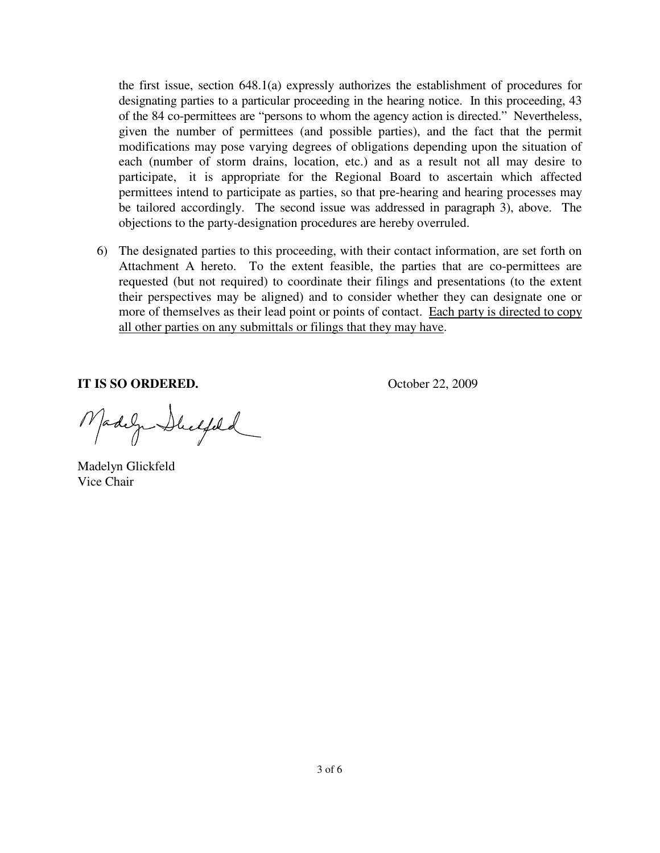the first issue, section 648.1(a) expressly authorizes the establishment of procedures for designating parties to a particular proceeding in the hearing notice. In this proceeding, 43 of the 84 co-permittees are "persons to whom the agency action is directed." Nevertheless, given the number of permittees (and possible parties), and the fact that the permit modifications may pose varying degrees of obligations depending upon the situation of each (number of storm drains, location, etc.) and as a result not all may desire to participate, it is appropriate for the Regional Board to ascertain which affected permittees intend to participate as parties, so that pre-hearing and hearing processes may be tailored accordingly. The second issue was addressed in paragraph 3), above. The objections to the party-designation procedures are hereby overruled.

6) The designated parties to this proceeding, with their contact information, are set forth on Attachment A hereto. To the extent feasible, the parties that are co-permittees are requested (but not required) to coordinate their filings and presentations (to the extent their perspectives may be aligned) and to consider whether they can designate one or more of themselves as their lead point or points of contact. Each party is directed to copy all other parties on any submittals or filings that they may have.

**IT IS SO ORDERED.** October 22, 2009

Madega Duchfeld

Madelyn Glickfeld Vice Chair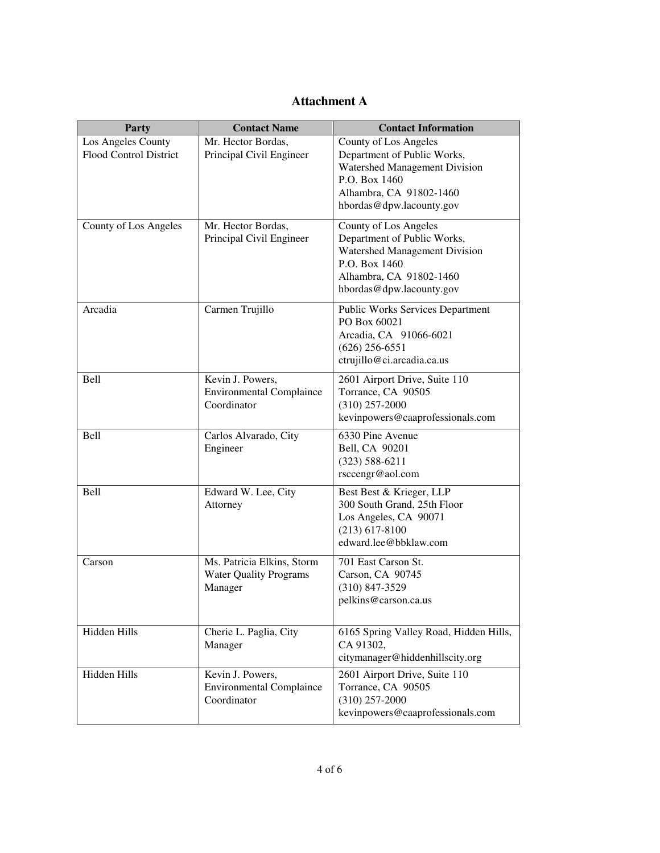### **Attachment A**

| Party                                        | <b>Contact Name</b>                                                    | <b>Contact Information</b>                                                                                                                                    |
|----------------------------------------------|------------------------------------------------------------------------|---------------------------------------------------------------------------------------------------------------------------------------------------------------|
| Los Angeles County<br>Flood Control District | Mr. Hector Bordas,<br>Principal Civil Engineer                         | County of Los Angeles<br>Department of Public Works,<br>Watershed Management Division<br>P.O. Box 1460<br>Alhambra, CA 91802-1460<br>hbordas@dpw.lacounty.gov |
| County of Los Angeles                        | Mr. Hector Bordas,<br>Principal Civil Engineer                         | County of Los Angeles<br>Department of Public Works,<br>Watershed Management Division<br>P.O. Box 1460<br>Alhambra, CA 91802-1460<br>hbordas@dpw.lacounty.gov |
| Arcadia                                      | Carmen Trujillo                                                        | <b>Public Works Services Department</b><br>PO Box 60021<br>Arcadia, CA 91066-6021<br>$(626)$ 256-6551<br>ctrujillo@ci.arcadia.ca.us                           |
| <b>Bell</b>                                  | Kevin J. Powers,<br><b>Environmental Complaince</b><br>Coordinator     | 2601 Airport Drive, Suite 110<br>Torrance, CA 90505<br>$(310)$ 257-2000<br>kevinpowers@caaprofessionals.com                                                   |
| <b>Bell</b>                                  | Carlos Alvarado, City<br>Engineer                                      | 6330 Pine Avenue<br>Bell, CA 90201<br>$(323) 588 - 6211$<br>rsccengr@aol.com                                                                                  |
| <b>Bell</b>                                  | Edward W. Lee, City<br>Attorney                                        | Best Best & Krieger, LLP<br>300 South Grand, 25th Floor<br>Los Angeles, CA 90071<br>$(213)$ 617-8100<br>edward.lee@bbklaw.com                                 |
| Carson                                       | Ms. Patricia Elkins, Storm<br><b>Water Quality Programs</b><br>Manager | 701 East Carson St.<br>Carson, CA 90745<br>$(310)$ 847-3529<br>pelkins@carson.ca.us                                                                           |
| Hidden Hills                                 | Cherie L. Paglia, City<br>Manager                                      | 6165 Spring Valley Road, Hidden Hills,<br>CA 91302,<br>citymanager@hiddenhillscity.org                                                                        |
| Hidden Hills                                 | Kevin J. Powers,<br><b>Environmental Complaince</b><br>Coordinator     | 2601 Airport Drive, Suite 110<br>Torrance, CA 90505<br>$(310)$ 257-2000<br>kevinpowers@caaprofessionals.com                                                   |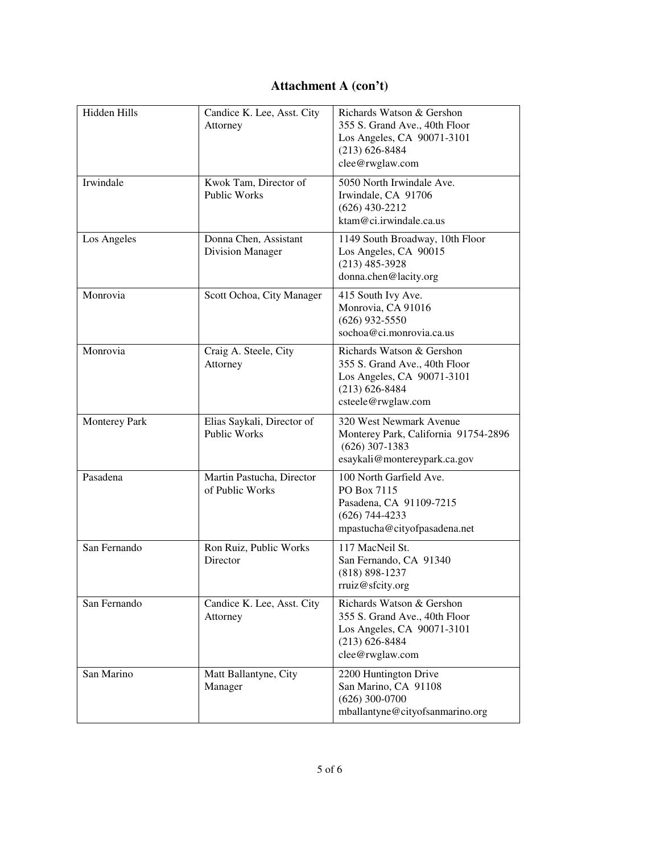# **Attachment A (con't)**

| Hidden Hills         | Candice K. Lee, Asst. City<br>Attorney            | Richards Watson & Gershon<br>355 S. Grand Ave., 40th Floor<br>Los Angeles, CA 90071-3101<br>$(213) 626 - 8484$<br>clee@rwglaw.com    |
|----------------------|---------------------------------------------------|--------------------------------------------------------------------------------------------------------------------------------------|
| Irwindale            | Kwok Tam, Director of<br><b>Public Works</b>      | 5050 North Irwindale Ave.<br>Irwindale, CA 91706<br>$(626)$ 430-2212<br>ktam@ci.jrwindale.ca.us                                      |
| Los Angeles          | Donna Chen, Assistant<br>Division Manager         | 1149 South Broadway, 10th Floor<br>Los Angeles, CA 90015<br>$(213)$ 485-3928<br>donna.chen@lacity.org                                |
| Monrovia             | Scott Ochoa, City Manager                         | 415 South Ivy Ave.<br>Monrovia, CA 91016<br>$(626)$ 932-5550<br>sochoa@ci.monrovia.ca.us                                             |
| Monrovia             | Craig A. Steele, City<br>Attorney                 | Richards Watson & Gershon<br>355 S. Grand Ave., 40th Floor<br>Los Angeles, CA 90071-3101<br>$(213) 626 - 8484$<br>csteele@rwglaw.com |
| <b>Monterey Park</b> | Elias Saykali, Director of<br><b>Public Works</b> | 320 West Newmark Avenue<br>Monterey Park, California 91754-2896<br>$(626)$ 307-1383<br>esaykali@montereypark.ca.gov                  |
| Pasadena             | Martin Pastucha, Director<br>of Public Works      | 100 North Garfield Ave.<br>PO Box 7115<br>Pasadena, CA 91109-7215<br>$(626)$ 744-4233<br>mpastucha@cityofpasadena.net                |
| San Fernando         | Ron Ruiz, Public Works<br>Director                | 117 MacNeil St.<br>San Fernando, CA 91340<br>$(818) 898 - 1237$<br>rruiz@sfcity.org                                                  |
| San Fernando         | Candice K. Lee, Asst. City<br>Attorney            | Richards Watson & Gershon<br>355 S. Grand Ave., 40th Floor<br>Los Angeles, CA 90071-3101<br>$(213) 626 - 8484$<br>clee@rwglaw.com    |
| San Marino           | Matt Ballantyne, City<br>Manager                  | 2200 Huntington Drive<br>San Marino, CA 91108<br>$(626)$ 300-0700<br>mballantyne@cityofsanmarino.org                                 |